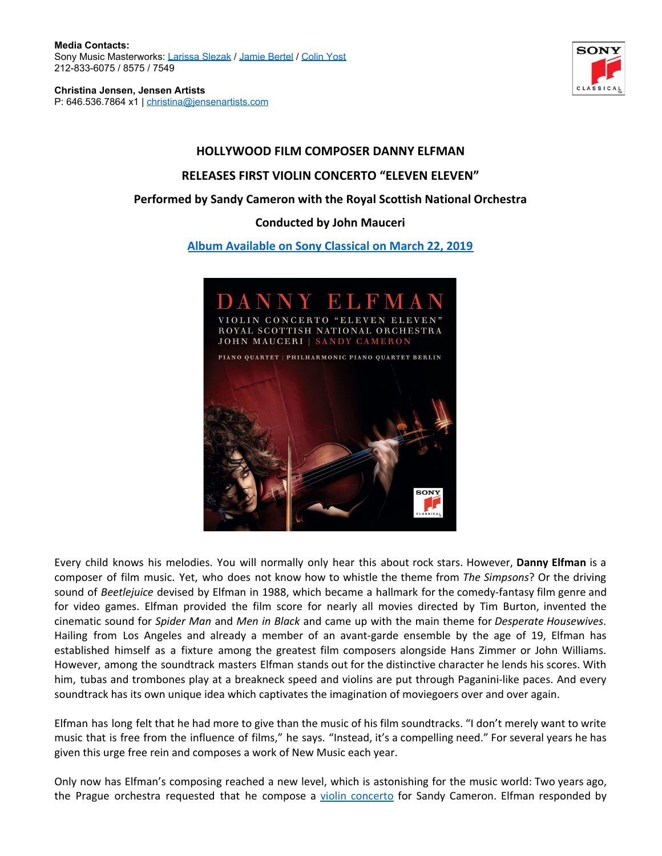**Media Contacts:** Sony Music Masterworks: [Larissa Slezak](mailto:Larissa.Slezak@sonymusic.com) / [Jamie Bertel](mailto:jamie.bertel@sonymusic.com) / [Colin Yost](mailto:Colin.Yost@sonymusic.com) 212-833-6075 / 8575 / 7549

**Christina Jensen, Jensen Artists** P: 646.536.7864 x1 | [christina@jensenartists.com](mailto:christina@jensenartists.com)



## **HOLLYWOOD FILM COMPOSER DANNY ELFMAN RELEASES FIRST VIOLIN CONCERTO "ELEVEN ELEVEN" Performed by Sandy Cameron with the Royal Scottish National Orchestra Conducted by John Mauceri [Album Available on Sony Classical on March 22, 2019](https://sonyclassical.lnk.to/Elfman_ElevenEleven)**



Every child knows his melodies. You will normally only hear this about rock stars. However, **Danny Elfman** is a composer of film music. Yet, who does not know how to whistle the theme from *The Simpsons*? Or the driving sound of *Beetlejuice* devised by Elfman in 1988, which became a hallmark for the comedy-fantasy film genre and for video games. Elfman provided the film score for nearly all movies directed by Tim Burton, invented the cinematic sound for *Spider Man* and *Men in Black* and came up with the main theme for *Desperate Housewives*. Hailing from Los Angeles and already a member of an avant-garde ensemble by the age of 19, Elfman has established himself as a fixture among the greatest film composers alongside Hans Zimmer or John Williams. However, among the soundtrack masters Elfman stands out for the distinctive character he lends his scores. With him, tubas and trombones play at a breakneck speed and violins are put through Paganini-like paces. And every soundtrack has its own unique idea which captivates the imagination of moviegoers over and over again.

Elfman has long felt that he had more to give than the music of his film soundtracks. "I don't merely want to write music that is free from the influence of films," he says. "Instead, it's a compelling need." For several years he has given this urge free rein and composes a work of New Music each year.

Only now has Elfman's composing reached a new level, which is astonishing for the music world: Two years ago, the Prague orchestra requested that he compose a violin [concerto](https://sonyclassical.lnk.to/Elfman_ElevenEleven) for Sandy Cameron. Elfman responded by